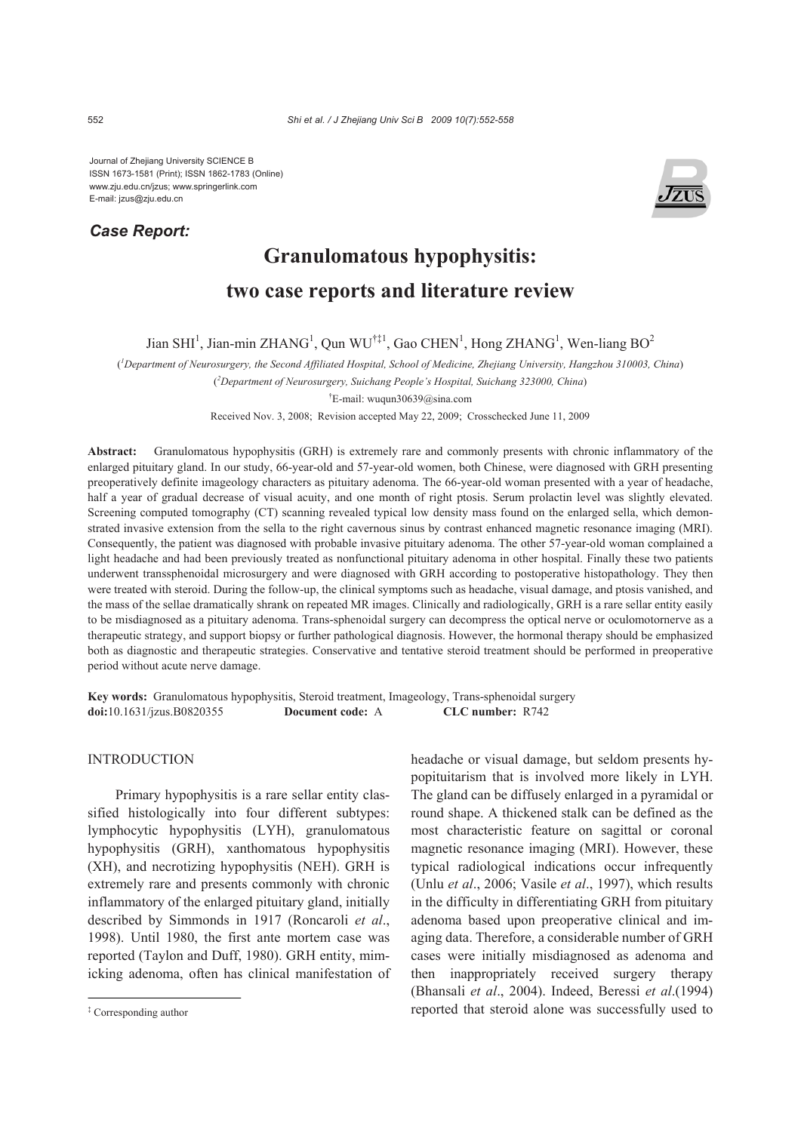Journal of Zhejiang University SCIENCE B ISSN 1673-1581 (Print); ISSN 1862-1783 (Online) www.zju.edu.cn/jzus; www.springerlink.com E-mail: jzus@zju.edu.cn

## *Case Report:*



# **Granulomatous hypophysitis: two case reports and literature review**

Jian SHI<sup>1</sup>, Jian-min ZHANG<sup>1</sup>, Qun WU<sup>†‡1</sup>, Gao CHEN<sup>1</sup>, Hong ZHANG<sup>1</sup>, Wen-liang BO<sup>2</sup>

( *1 Department of Neurosurgery, the Second Affiliated Hospital, School of Medicine, Zhejiang University, Hangzhou 310003, China*)

( *2 Department of Neurosurgery, Suichang People's Hospital, Suichang 323000, China*)

† E-mail: wuqun30639@sina.com

Received Nov. 3, 2008; Revision accepted May 22, 2009; Crosschecked June 11, 2009

**Abstract:** Granulomatous hypophysitis (GRH) is extremely rare and commonly presents with chronic inflammatory of the enlarged pituitary gland. In our study, 66-year-old and 57-year-old women, both Chinese, were diagnosed with GRH presenting preoperatively definite imageology characters as pituitary adenoma. The 66-year-old woman presented with a year of headache, half a year of gradual decrease of visual acuity, and one month of right ptosis. Serum prolactin level was slightly elevated. Screening computed tomography (CT) scanning revealed typical low density mass found on the enlarged sella, which demonstrated invasive extension from the sella to the right cavernous sinus by contrast enhanced magnetic resonance imaging (MRI). Consequently, the patient was diagnosed with probable invasive pituitary adenoma. The other 57-year-old woman complained a light headache and had been previously treated as nonfunctional pituitary adenoma in other hospital. Finally these two patients underwent transsphenoidal microsurgery and were diagnosed with GRH according to postoperative histopathology. They then were treated with steroid. During the follow-up, the clinical symptoms such as headache, visual damage, and ptosis vanished, and the mass of the sellae dramatically shrank on repeated MR images. Clinically and radiologically, GRH is a rare sellar entity easily to be misdiagnosed as a pituitary adenoma. Trans-sphenoidal surgery can decompress the optical nerve or oculomotornerve as a therapeutic strategy, and support biopsy or further pathological diagnosis. However, the hormonal therapy should be emphasized both as diagnostic and therapeutic strategies. Conservative and tentative steroid treatment should be performed in preoperative period without acute nerve damage.

**Key words:** Granulomatous hypophysitis, Steroid treatment, Imageology, Trans-sphenoidal surgery **doi:**10.1631/jzus.B0820355 **Document code:** A **CLC number:** R742

#### INTRODUCTION

Primary hypophysitis is a rare sellar entity classified histologically into four different subtypes: lymphocytic hypophysitis (LYH), granulomatous hypophysitis (GRH), xanthomatous hypophysitis (XH), and necrotizing hypophysitis (NEH). GRH is extremely rare and presents commonly with chronic inflammatory of the enlarged pituitary gland, initially described by Simmonds in 1917 (Roncaroli *et al*., 1998). Until 1980, the first ante mortem case was reported (Taylon and Duff, 1980). GRH entity, mimicking adenoma, often has clinical manifestation of headache or visual damage, but seldom presents hypopituitarism that is involved more likely in LYH. The gland can be diffusely enlarged in a pyramidal or round shape. A thickened stalk can be defined as the most characteristic feature on sagittal or coronal magnetic resonance imaging (MRI). However, these typical radiological indications occur infrequently (Unlu *et al*., 2006; Vasile *et al*., 1997), which results in the difficulty in differentiating GRH from pituitary adenoma based upon preoperative clinical and imaging data. Therefore, a considerable number of GRH cases were initially misdiagnosed as adenoma and then inappropriately received surgery therapy (Bhansali *et al*., 2004). Indeed, Beressi *et al*.(1994) reported that steroid alone was successfully used to

<sup>‡</sup> Corresponding author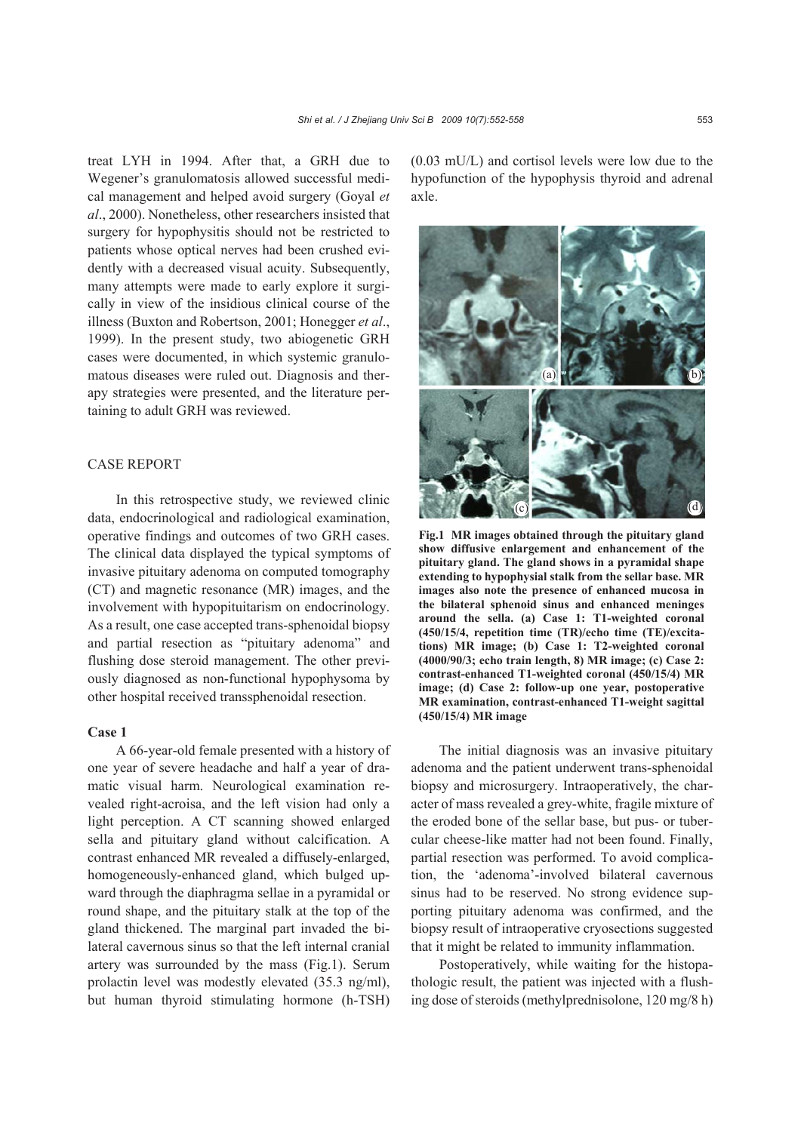treat LYH in 1994. After that, a GRH due to Wegener's granulomatosis allowed successful medical management and helped avoid surgery (Goyal *et al*., 2000). Nonetheless, other researchers insisted that surgery for hypophysitis should not be restricted to patients whose optical nerves had been crushed evidently with a decreased visual acuity. Subsequently, many attempts were made to early explore it surgically in view of the insidious clinical course of the illness (Buxton and Robertson, 2001; Honegger *et al*., 1999). In the present study, two abiogenetic GRH cases were documented, in which systemic granulomatous diseases were ruled out. Diagnosis and ther-

apy strategies were presented, and the literature per-

taining to adult GRH was reviewed.

#### CASE REPORT

In this retrospective study, we reviewed clinic data, endocrinological and radiological examination, operative findings and outcomes of two GRH cases. The clinical data displayed the typical symptoms of invasive pituitary adenoma on computed tomography (CT) and magnetic resonance (MR) images, and the involvement with hypopituitarism on endocrinology. As a result, one case accepted trans-sphenoidal biopsy and partial resection as "pituitary adenoma" and flushing dose steroid management. The other previously diagnosed as non-functional hypophysoma by other hospital received transsphenoidal resection.

#### **Case 1**

A 66-year-old female presented with a history of one year of severe headache and half a year of dramatic visual harm. Neurological examination revealed right-acroisa, and the left vision had only a light perception. A CT scanning showed enlarged sella and pituitary gland without calcification. A contrast enhanced MR revealed a diffusely-enlarged, homogeneously-enhanced gland, which bulged upward through the diaphragma sellae in a pyramidal or round shape, and the pituitary stalk at the top of the gland thickened. The marginal part invaded the bilateral cavernous sinus so that the left internal cranial artery was surrounded by the mass (Fig.1). Serum prolactin level was modestly elevated (35.3 ng/ml), but human thyroid stimulating hormone (h-TSH) (0.03 mU/L) and cortisol levels were low due to the hypofunction of the hypophysis thyroid and adrenal axle.



**Fig.1 MR images obtained through the pituitary gland show diffusive enlargement and enhancement of the pituitary gland. The gland shows in a pyramidal shape extending to hypophysial stalk from the sellar base. MR images also note the presence of enhanced mucosa in the bilateral sphenoid sinus and enhanced meninges around the sella. (a) Case 1: T1-weighted coronal (450/15/4, repetition time (TR)/echo time (TE)/excitations) MR image; (b) Case 1: T2-weighted coronal (4000/90/3; echo train length, 8) MR image; (c) Case 2: contrast-enhanced T1-weighted coronal (450/15/4) MR image; (d) Case 2: follow-up one year, postoperative MR examination, contrast-enhanced T1-weight sagittal (450/15/4) MR image** 

The initial diagnosis was an invasive pituitary adenoma and the patient underwent trans-sphenoidal biopsy and microsurgery. Intraoperatively, the character of mass revealed a grey-white, fragile mixture of the eroded bone of the sellar base, but pus- or tubercular cheese-like matter had not been found. Finally, partial resection was performed. To avoid complication, the 'adenoma'-involved bilateral cavernous sinus had to be reserved. No strong evidence supporting pituitary adenoma was confirmed, and the biopsy result of intraoperative cryosections suggested that it might be related to immunity inflammation.

Postoperatively, while waiting for the histopathologic result, the patient was injected with a flushing dose of steroids (methylprednisolone, 120 mg/8 h)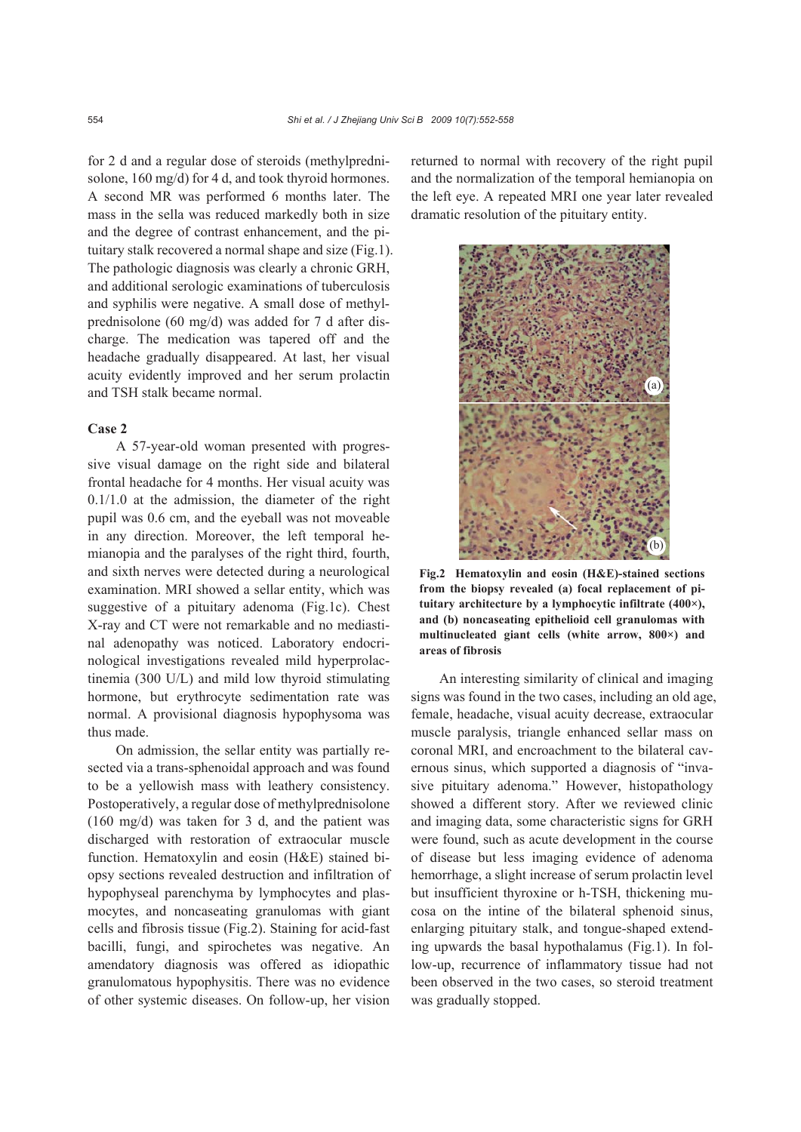for 2 d and a regular dose of steroids (methylprednisolone, 160 mg/d) for 4 d, and took thyroid hormones. A second MR was performed 6 months later. The mass in the sella was reduced markedly both in size and the degree of contrast enhancement, and the pituitary stalk recovered a normal shape and size (Fig.1). The pathologic diagnosis was clearly a chronic GRH, and additional serologic examinations of tuberculosis and syphilis were negative. A small dose of methylprednisolone (60 mg/d) was added for 7 d after discharge. The medication was tapered off and the headache gradually disappeared. At last, her visual acuity evidently improved and her serum prolactin and TSH stalk became normal.

#### **Case 2**

A 57-year-old woman presented with progressive visual damage on the right side and bilateral frontal headache for 4 months. Her visual acuity was 0.1/1.0 at the admission, the diameter of the right pupil was 0.6 cm, and the eyeball was not moveable in any direction. Moreover, the left temporal hemianopia and the paralyses of the right third, fourth, and sixth nerves were detected during a neurological examination. MRI showed a sellar entity, which was suggestive of a pituitary adenoma (Fig.1c). Chest X-ray and CT were not remarkable and no mediastinal adenopathy was noticed. Laboratory endocrinological investigations revealed mild hyperprolactinemia (300 U/L) and mild low thyroid stimulating hormone, but erythrocyte sedimentation rate was normal. A provisional diagnosis hypophysoma was thus made.

On admission, the sellar entity was partially resected via a trans-sphenoidal approach and was found to be a yellowish mass with leathery consistency. Postoperatively, a regular dose of methylprednisolone (160 mg/d) was taken for 3 d, and the patient was discharged with restoration of extraocular muscle function. Hematoxylin and eosin (H&E) stained biopsy sections revealed destruction and infiltration of hypophyseal parenchyma by lymphocytes and plasmocytes, and noncaseating granulomas with giant cells and fibrosis tissue (Fig.2). Staining for acid-fast bacilli, fungi, and spirochetes was negative. An amendatory diagnosis was offered as idiopathic granulomatous hypophysitis. There was no evidence of other systemic diseases. On follow-up, her vision returned to normal with recovery of the right pupil and the normalization of the temporal hemianopia on the left eye. A repeated MRI one year later revealed dramatic resolution of the pituitary entity.



**Fig.2 Hematoxylin and eosin (H&E)-stained sections from the biopsy revealed (a) focal replacement of pituitary architecture by a lymphocytic infiltrate (400×), and (b) noncaseating epithelioid cell granulomas with multinucleated giant cells (white arrow, 800×) and areas of fibrosis**

An interesting similarity of clinical and imaging signs was found in the two cases, including an old age, female, headache, visual acuity decrease, extraocular muscle paralysis, triangle enhanced sellar mass on coronal MRI, and encroachment to the bilateral cavernous sinus, which supported a diagnosis of "invasive pituitary adenoma." However, histopathology showed a different story. After we reviewed clinic and imaging data, some characteristic signs for GRH were found, such as acute development in the course of disease but less imaging evidence of adenoma hemorrhage, a slight increase of serum prolactin level but insufficient thyroxine or h-TSH, thickening mucosa on the intine of the bilateral sphenoid sinus, enlarging pituitary stalk, and tongue-shaped extending upwards the basal hypothalamus (Fig.1). In follow-up, recurrence of inflammatory tissue had not been observed in the two cases, so steroid treatment was gradually stopped.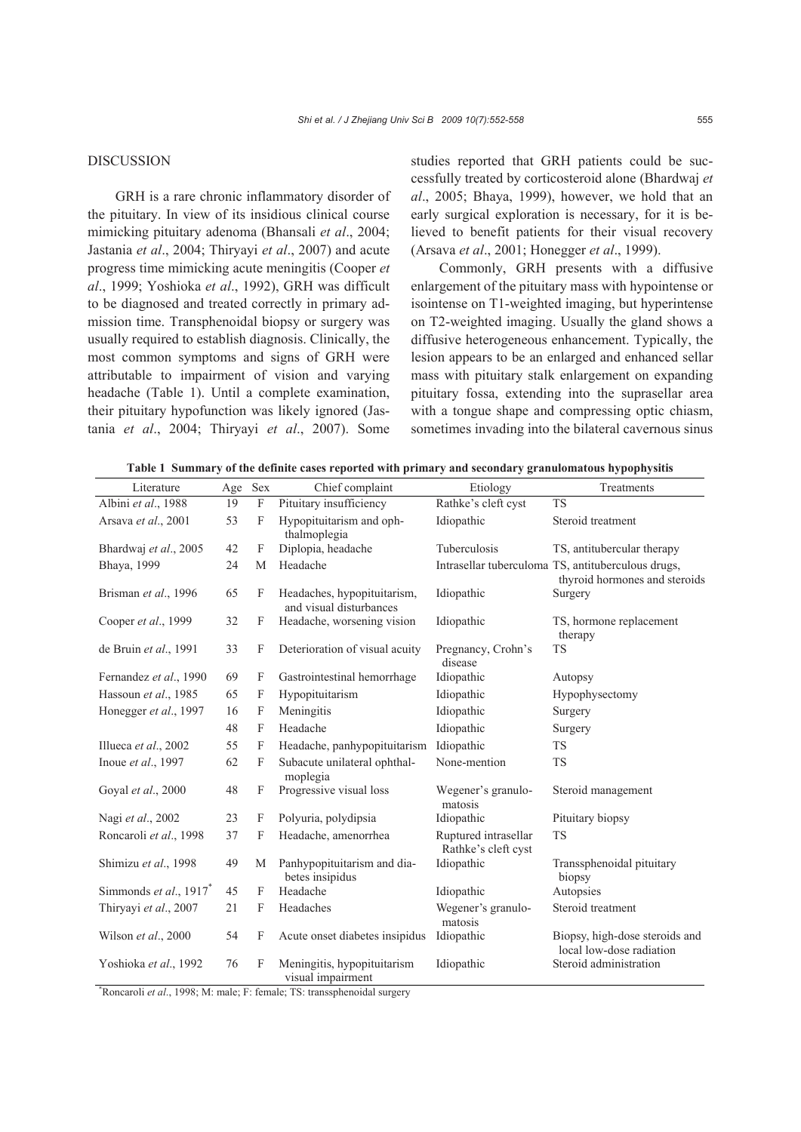### DISCUSSION

GRH is a rare chronic inflammatory disorder of the pituitary. In view of its insidious clinical course mimicking pituitary adenoma (Bhansali *et al*., 2004; Jastania *et al*., 2004; Thiryayi *et al*., 2007) and acute progress time mimicking acute meningitis (Cooper *et al*., 1999; Yoshioka *et al*., 1992), GRH was difficult to be diagnosed and treated correctly in primary admission time. Transphenoidal biopsy or surgery was usually required to establish diagnosis. Clinically, the most common symptoms and signs of GRH were attributable to impairment of vision and varying headache (Table 1). Until a complete examination, their pituitary hypofunction was likely ignored (Jastania *et al*., 2004; Thiryayi *et al*., 2007). Some

studies reported that GRH patients could be successfully treated by corticosteroid alone (Bhardwaj *et al*., 2005; Bhaya, 1999), however, we hold that an early surgical exploration is necessary, for it is believed to benefit patients for their visual recovery (Arsava *et al*., 2001; Honegger *et al*., 1999).

Commonly, GRH presents with a diffusive enlargement of the pituitary mass with hypointense or isointense on T1-weighted imaging, but hyperintense on T2-weighted imaging. Usually the gland shows a diffusive heterogeneous enhancement. Typically, the lesion appears to be an enlarged and enhanced sellar mass with pituitary stalk enlargement on expanding pituitary fossa, extending into the suprasellar area with a tongue shape and compressing optic chiasm, sometimes invading into the bilateral cavernous sinus

|  |  |  |  | Table 1 Summary of the definite cases reported with primary and secondary granulomatous hypophysitis |  |  |  |
|--|--|--|--|------------------------------------------------------------------------------------------------------|--|--|--|
|  |  |  |  |                                                                                                      |  |  |  |
|  |  |  |  |                                                                                                      |  |  |  |

| Literature                |    | Age Sex                   | Chief complaint                                        | Etiology                                    | Treatments                                                                          |  |
|---------------------------|----|---------------------------|--------------------------------------------------------|---------------------------------------------|-------------------------------------------------------------------------------------|--|
| Albini et al., 1988       | 19 | $\mathbf F$               | Pituitary insufficiency                                | Rathke's cleft cyst                         | $\overline{\text{TS}}$                                                              |  |
| Arsava et al., 2001       | 53 | F                         | Hypopituitarism and oph-<br>thalmoplegia               | Idiopathic                                  | Steroid treatment                                                                   |  |
| Bhardwaj et al., 2005     | 42 | F                         | Diplopia, headache                                     | Tuberculosis                                | TS, antitubercular therapy                                                          |  |
| Bhaya, 1999               | 24 | M                         | Headache                                               |                                             | Intrasellar tuberculoma TS, antituberculous drugs,<br>thyroid hormones and steroids |  |
| Brisman et al., 1996      | 65 | F                         | Headaches, hypopituitarism,<br>and visual disturbances | Idiopathic                                  | Surgery                                                                             |  |
| Cooper et al., 1999       | 32 | F                         | Headache, worsening vision                             | Idiopathic                                  | TS, hormone replacement<br>therapy                                                  |  |
| de Bruin et al., 1991     | 33 | F                         | Deterioration of visual acuity                         | Pregnancy, Crohn's<br>disease               | <b>TS</b>                                                                           |  |
| Fernandez et al., 1990    | 69 | F                         | Gastrointestinal hemorrhage                            | Idiopathic                                  | Autopsy                                                                             |  |
| Hassoun et al., 1985      | 65 | F                         | Hypopituitarism                                        | Idiopathic                                  | Hypophysectomy                                                                      |  |
| Honegger et al., 1997     | 16 | F                         | Meningitis                                             | Idiopathic                                  | Surgery                                                                             |  |
|                           | 48 | F                         | Headache                                               | Idiopathic                                  | Surgery                                                                             |  |
| Illueca et al., 2002      | 55 | F                         | Headache, panhypopituitarism                           | Idiopathic                                  | <b>TS</b>                                                                           |  |
| Inoue et al., 1997        | 62 | $\mathbf{F}$              | Subacute unilateral ophthal-<br>moplegia               | None-mention                                | <b>TS</b>                                                                           |  |
| Goyal et al., 2000        | 48 | F                         | Progressive visual loss                                | Wegener's granulo-<br>matosis               | Steroid management                                                                  |  |
| Nagi et al., 2002         | 23 | F                         | Polyuria, polydipsia                                   | Idiopathic                                  | Pituitary biopsy                                                                    |  |
| Roncaroli et al., 1998    | 37 | F                         | Headache, amenorrhea                                   | Ruptured intrasellar<br>Rathke's cleft cyst | <b>TS</b>                                                                           |  |
| Shimizu et al., 1998      | 49 | M                         | Panhypopituitarism and dia-<br>betes insipidus         | Idiopathic                                  | Transsphenoidal pituitary<br>biopsy                                                 |  |
| Simmonds et al., $1917^*$ | 45 | F                         | Headache                                               | Idiopathic                                  | Autopsies                                                                           |  |
| Thiryayi et al., 2007     | 21 | $\boldsymbol{\mathrm{F}}$ | Headaches                                              | Wegener's granulo-<br>matosis               | Steroid treatment                                                                   |  |
| Wilson et al., 2000       | 54 | F                         | Acute onset diabetes insipidus                         | Idiopathic                                  | Biopsy, high-dose steroids and<br>local low-dose radiation                          |  |
| Yoshioka et al., 1992     | 76 | F                         | Meningitis, hypopituitarism<br>visual impairment       | Idiopathic                                  | Steroid administration                                                              |  |

\* Roncaroli *et al*., 1998; M: male; F: female; TS: transsphenoidal surgery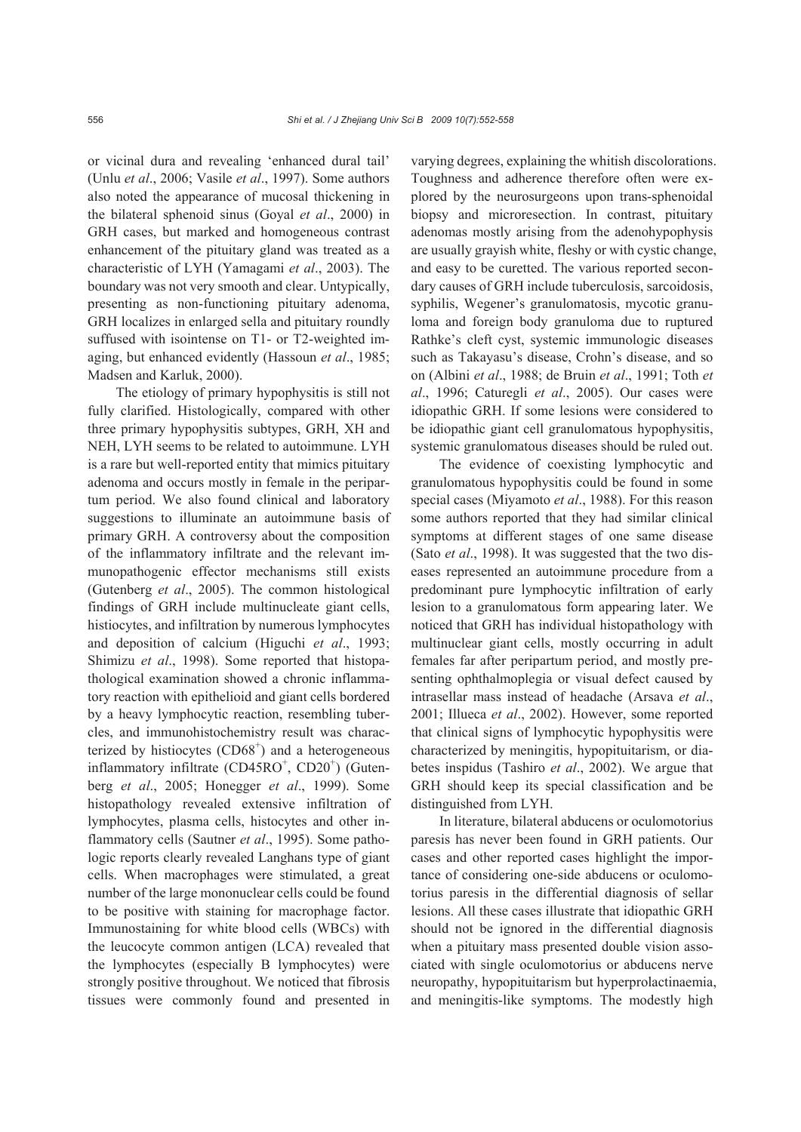or vicinal dura and revealing 'enhanced dural tail' (Unlu *et al*., 2006; Vasile *et al*., 1997). Some authors also noted the appearance of mucosal thickening in the bilateral sphenoid sinus (Goyal *et al*., 2000) in GRH cases, but marked and homogeneous contrast enhancement of the pituitary gland was treated as a characteristic of LYH (Yamagami *et al*., 2003). The boundary was not very smooth and clear. Untypically, presenting as non-functioning pituitary adenoma, GRH localizes in enlarged sella and pituitary roundly suffused with isointense on T1- or T2-weighted imaging, but enhanced evidently (Hassoun *et al*., 1985; Madsen and Karluk, 2000).

The etiology of primary hypophysitis is still not fully clarified. Histologically, compared with other three primary hypophysitis subtypes, GRH, XH and NEH, LYH seems to be related to autoimmune. LYH is a rare but well-reported entity that mimics pituitary adenoma and occurs mostly in female in the peripartum period. We also found clinical and laboratory suggestions to illuminate an autoimmune basis of primary GRH. A controversy about the composition of the inflammatory infiltrate and the relevant immunopathogenic effector mechanisms still exists (Gutenberg *et al*., 2005). The common histological findings of GRH include multinucleate giant cells, histiocytes, and infiltration by numerous lymphocytes and deposition of calcium (Higuchi *et al*., 1993; Shimizu *et al*., 1998). Some reported that histopathological examination showed a chronic inflammatory reaction with epithelioid and giant cells bordered by a heavy lymphocytic reaction, resembling tubercles, and immunohistochemistry result was characterized by histiocytes  $(CD68<sup>+</sup>)$  and a heterogeneous inflammatory infiltrate (CD45RO<sup>+</sup>, CD20<sup>+</sup>) (Gutenberg *et al*., 2005; Honegger *et al*., 1999). Some histopathology revealed extensive infiltration of lymphocytes, plasma cells, histocytes and other inflammatory cells (Sautner *et al*., 1995). Some pathologic reports clearly revealed Langhans type of giant cells. When macrophages were stimulated, a great number of the large mononuclear cells could be found to be positive with staining for macrophage factor. Immunostaining for white blood cells (WBCs) with the leucocyte common antigen (LCA) revealed that the lymphocytes (especially B lymphocytes) were strongly positive throughout. We noticed that fibrosis tissues were commonly found and presented in

varying degrees, explaining the whitish discolorations. Toughness and adherence therefore often were explored by the neurosurgeons upon trans-sphenoidal biopsy and microresection. In contrast, pituitary adenomas mostly arising from the adenohypophysis are usually grayish white, fleshy or with cystic change, and easy to be curetted. The various reported secondary causes of GRH include tuberculosis, sarcoidosis, syphilis, Wegener's granulomatosis, mycotic granuloma and foreign body granuloma due to ruptured Rathke's cleft cyst, systemic immunologic diseases such as Takayasu's disease, Crohn's disease, and so on (Albini *et al*., 1988; de Bruin *et al*., 1991; Toth *et al*., 1996; Caturegli *et al*., 2005). Our cases were idiopathic GRH. If some lesions were considered to be idiopathic giant cell granulomatous hypophysitis, systemic granulomatous diseases should be ruled out.

The evidence of coexisting lymphocytic and granulomatous hypophysitis could be found in some special cases (Miyamoto *et al*., 1988). For this reason some authors reported that they had similar clinical symptoms at different stages of one same disease (Sato *et al*., 1998). It was suggested that the two diseases represented an autoimmune procedure from a predominant pure lymphocytic infiltration of early lesion to a granulomatous form appearing later. We noticed that GRH has individual histopathology with multinuclear giant cells, mostly occurring in adult females far after peripartum period, and mostly presenting ophthalmoplegia or visual defect caused by intrasellar mass instead of headache (Arsava *et al*., 2001; Illueca *et al*., 2002). However, some reported that clinical signs of lymphocytic hypophysitis were characterized by meningitis, hypopituitarism, or diabetes inspidus (Tashiro *et al*., 2002). We argue that GRH should keep its special classification and be distinguished from LYH.

In literature, bilateral abducens or oculomotorius paresis has never been found in GRH patients. Our cases and other reported cases highlight the importance of considering one-side abducens or oculomotorius paresis in the differential diagnosis of sellar lesions. All these cases illustrate that idiopathic GRH should not be ignored in the differential diagnosis when a pituitary mass presented double vision associated with single oculomotorius or abducens nerve neuropathy, hypopituitarism but hyperprolactinaemia, and meningitis-like symptoms. The modestly high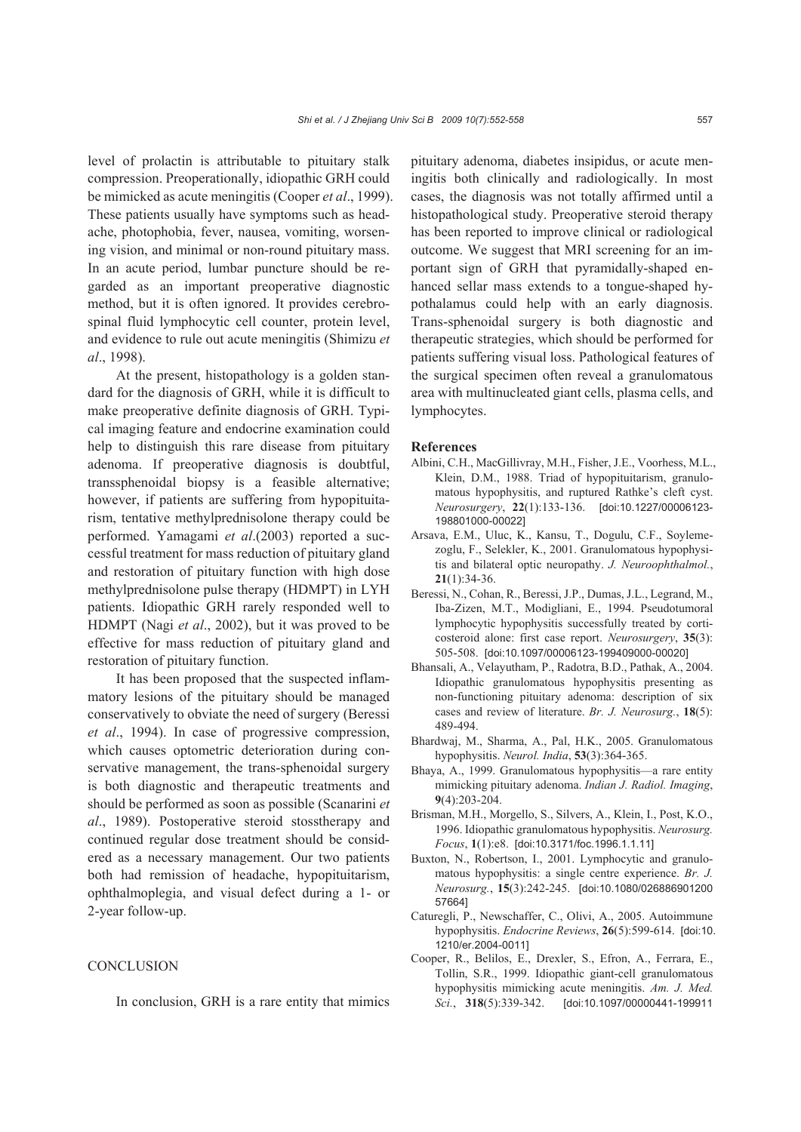level of prolactin is attributable to pituitary stalk compression. Preoperationally, idiopathic GRH could be mimicked as acute meningitis (Cooper *et al*., 1999). These patients usually have symptoms such as headache, photophobia, fever, nausea, vomiting, worsening vision, and minimal or non-round pituitary mass. In an acute period, lumbar puncture should be regarded as an important preoperative diagnostic method, but it is often ignored. It provides cerebrospinal fluid lymphocytic cell counter, protein level, and evidence to rule out acute meningitis (Shimizu *et al*., 1998).

At the present, histopathology is a golden standard for the diagnosis of GRH, while it is difficult to make preoperative definite diagnosis of GRH. Typical imaging feature and endocrine examination could help to distinguish this rare disease from pituitary adenoma. If preoperative diagnosis is doubtful, transsphenoidal biopsy is a feasible alternative; however, if patients are suffering from hypopituitarism, tentative methylprednisolone therapy could be performed. Yamagami *et al*.(2003) reported a successful treatment for mass reduction of pituitary gland and restoration of pituitary function with high dose methylprednisolone pulse therapy (HDMPT) in LYH patients. Idiopathic GRH rarely responded well to HDMPT (Nagi *et al*., 2002), but it was proved to be effective for mass reduction of pituitary gland and restoration of pituitary function.

It has been proposed that the suspected inflammatory lesions of the pituitary should be managed conservatively to obviate the need of surgery (Beressi *et al*., 1994). In case of progressive compression, which causes optometric deterioration during conservative management, the trans-sphenoidal surgery is both diagnostic and therapeutic treatments and should be performed as soon as possible (Scanarini *et al*., 1989). Postoperative steroid stosstherapy and continued regular dose treatment should be considered as a necessary management. Our two patients both had remission of headache, hypopituitarism, ophthalmoplegia, and visual defect during a 1- or 2-year follow-up.

#### **CONCLUSION**

In conclusion, GRH is a rare entity that mimics

pituitary adenoma, diabetes insipidus, or acute meningitis both clinically and radiologically. In most cases, the diagnosis was not totally affirmed until a histopathological study. Preoperative steroid therapy has been reported to improve clinical or radiological outcome. We suggest that MRI screening for an important sign of GRH that pyramidally-shaped enhanced sellar mass extends to a tongue-shaped hypothalamus could help with an early diagnosis. Trans-sphenoidal surgery is both diagnostic and therapeutic strategies, which should be performed for patients suffering visual loss. Pathological features of the surgical specimen often reveal a granulomatous area with multinucleated giant cells, plasma cells, and lymphocytes.

#### **References**

- Albini, C.H., MacGillivray, M.H., Fisher, J.E., Voorhess, M.L., Klein, D.M., 1988. Triad of hypopituitarism, granulomatous hypophysitis, and ruptured Rathke's cleft cyst. *Neurosurgery*, **22**(1):133-136. [doi:10.1227/00006123- 198801000-00022]
- Arsava, E.M., Uluc, K., Kansu, T., Dogulu, C.F., Soylemezoglu, F., Selekler, K., 2001. Granulomatous hypophysitis and bilateral optic neuropathy. *J. Neuroophthalmol.*, **21**(1):34-36.
- Beressi, N., Cohan, R., Beressi, J.P., Dumas, J.L., Legrand, M., Iba-Zizen, M.T., Modigliani, E., 1994. Pseudotumoral lymphocytic hypophysitis successfully treated by corticosteroid alone: first case report. *Neurosurgery*, **35**(3): 505-508. [doi:10.1097/00006123-199409000-00020]
- Bhansali, A., Velayutham, P., Radotra, B.D., Pathak, A., 2004. Idiopathic granulomatous hypophysitis presenting as non-functioning pituitary adenoma: description of six cases and review of literature. *Br. J. Neurosurg.*, **18**(5): 489-494.
- Bhardwaj, M., Sharma, A., Pal, H.K., 2005. Granulomatous hypophysitis. *Neurol. India*, **53**(3):364-365.
- Bhaya, A., 1999. Granulomatous hypophysitis—a rare entity mimicking pituitary adenoma. *Indian J. Radiol. Imaging*, **9**(4):203-204.
- Brisman, M.H., Morgello, S., Silvers, A., Klein, I., Post, K.O., 1996. Idiopathic granulomatous hypophysitis. *Neurosurg. Focus*, **1**(1):e8. [doi:10.3171/foc.1996.1.1.11]
- Buxton, N., Robertson, I., 2001. Lymphocytic and granulomatous hypophysitis: a single centre experience. *Br. J. Neurosurg.*, **15**(3):242-245. [doi:10.1080/026886901200 57664]
- Caturegli, P., Newschaffer, C., Olivi, A., 2005. Autoimmune hypophysitis. *Endocrine Reviews*, **26**(5):599-614. [doi:10. 1210/er.2004-0011]
- Cooper, R., Belilos, E., Drexler, S., Efron, A., Ferrara, E., Tollin, S.R., 1999. Idiopathic giant-cell granulomatous hypophysitis mimicking acute meningitis. *Am. J. Med. Sci.*, **318**(5):339-342. [doi:10.1097/00000441-199911